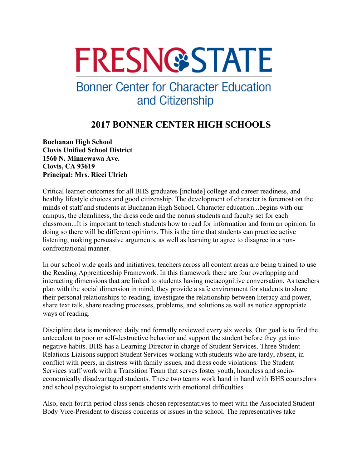## **FRESN@STATE**

## **Bonner Center for Character Education** and Citizenship

## **2017 BONNER CENTER HIGH SCHOOLS**

**Buchanan High School Clovis Unified School District 1560 N. Minnewawa Ave. Clovis, CA 93619 Principal: Mrs. Ricci Ulrich** 

Critical learner outcomes for all BHS graduates [include] college and career readiness, and healthy lifestyle choices and good citizenship. The development of character is foremost on the minds of staff and students at Buchanan High School. Character education...begins with our campus, the cleanliness, the dress code and the norms students and faculty set for each classroom...It is important to teach students how to read for information and form an opinion. In doing so there will be different opinions. This is the time that students can practice active listening, making persuasive arguments, as well as learning to agree to disagree in a nonconfrontational manner.

In our school wide goals and initiatives, teachers across all content areas are being trained to use the Reading Apprenticeship Framework. In this framework there are four overlapping and interacting dimensions that are linked to students having metacognitive conversation. As teachers plan with the social dimension in mind, they provide a safe environment for students to share their personal relationships to reading, investigate the relationship between literacy and power, share text talk, share reading processes, problems, and solutions as well as notice appropriate ways of reading.

Discipline data is monitored daily and formally reviewed every six weeks. Our goal is to find the antecedent to poor or self-destructive behavior and support the student before they get into negative habits. BHS has a Learning Director in charge of Student Services. Three Student Relations Liaisons support Student Services working with students who are tardy, absent, in conflict with peers, in distress with family issues, and dress code violations. The Student Services staff work with a Transition Team that serves foster youth, homeless and socioeconomically disadvantaged students. These two teams work hand in hand with BHS counselors and school psychologist to support students with emotional difficulties.

Also, each fourth period class sends chosen representatives to meet with the Associated Student Body Vice-President to discuss concerns or issues in the school. The representatives take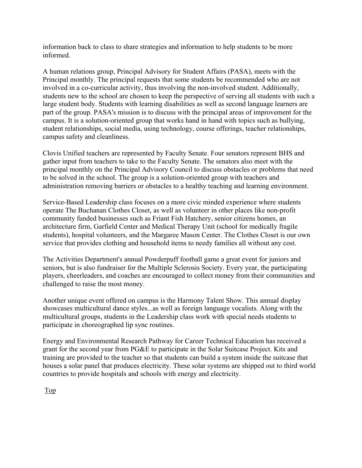information back to class to share strategies and information to help students to be more informed.

A human relations group, Principal Advisory for Student Affairs (PASA), meets with the Principal monthly. The principal requests that some students be recommended who are not involved in a co-curricular activity, thus involving the non-involved student. Additionally, students new to the school are chosen to keep the perspective of serving all students with such a large student body. Students with learning disabilities as well as second language learners are part of the group. PASA's mission is to discuss with the principal areas of improvement for the campus. It is a solution-oriented group that works hand in hand with topics such as bullying, student relationships, social media, using technology, course offerings, teacher relationships, campus safety and cleanliness.

Clovis Unified teachers are represented by Faculty Senate. Four senators represent BHS and gather input from teachers to take to the Faculty Senate. The senators also meet with the principal monthly on the Principal Advisory Council to discuss obstacles or problems that need to be solved in the school. The group is a solution-oriented group with teachers and administration removing barriers or obstacles to a healthy teaching and learning environment.

Service-Based Leadership class focuses on a more civic minded experience where students operate The Buchanan Clothes Closet, as well as volunteer in other places like non-profit community funded businesses such as Friant Fish Hatchery, senior citizens homes, an architecture firm, Garfield Center and Medical Therapy Unit (school for medically fragile students), hospital volunteers, and the Margaree Mason Center. The Clothes Closet is our own service that provides clothing and household items to needy families all without any cost.

The Activities Department's annual Powderpuff football game a great event for juniors and seniors, but is also fundraiser for the Multiple Sclerosis Society. Every year, the participating players, cheerleaders, and coaches are encouraged to collect money from their communities and challenged to raise the most money.

Another unique event offered on campus is the Harmony Talent Show. This annual display showcases multicultural dance styles...as well as foreign language vocalists. Along with the multicultural groups, students in the Leadership class work with special needs students to participate in choreographed lip sync routines.

Energy and Environmental Research Pathway for Career Technical Education has received a grant for the second year from PG&E to participate in the Solar Suitcase Project. Kits and training are provided to the teacher so that students can build a system inside the suitcase that houses a solar panel that produces electricity. These solar systems are shipped out to third world countries to provide hospitals and schools with energy and electricity.

Top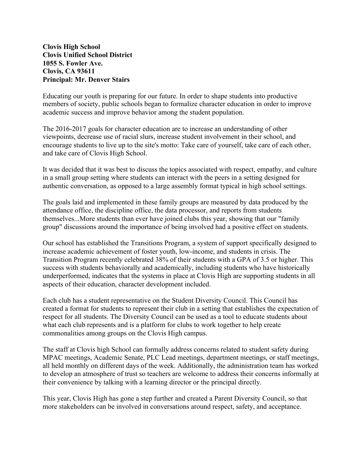**Clovis High School Clovis Unified School District 1055 S. Fowler Ave. Clovis, CA 93611 Principal: Mr. Denver Stairs** 

Educating our youth is preparing for our future. In order to shape students into productive members of society, public schools began to formalize character education in order to improve academic success and improve behavior among the student population.

The 2016-2017 goals for character education are to increase an understanding of other viewpoints, decrease use of racial slurs, increase student involvement in their school, and encourage students to live up to the site's motto: Take care of yourself, take care of each other, and take care of Clovis High School.

It was decided that it was best to discuss the topics associated with respect, empathy, and culture in a small group setting where students can interact with the peers in a setting designed for authentic conversation, as opposed to a large assembly format typical in high school settings.

The goals laid and implemented in these family groups are measured by data produced by the attendance office, the discipline office, the data processor, and reports from students themselves...More students than ever have joined clubs this year, showing that our "family group" discussions around the importance of being involved had a positive effect on students.

Our school has established the Transitions Program, a system of support specifically designed to increase academic achievement of foster youth, low-income, and students in crisis. The Transition Program recently celebrated 38% of their students with a GPA of 3.5 or higher. This success with students behaviorally and academically, including students who have historically underperformed, indicates that the systems in place at Clovis High are supporting students in all aspects of their education, character development included.

Each club has a student representative on the Student Diversity Council. This Council has created a format for students to represent their club in a setting that establishes the expectation of respect for all students. The Diversity Council can be used as a tool to educate students about what each club represents and is a platform for clubs to work together to help create commonalities among groups on the Clovis High campus.

The staff at Clovis high School can formally address concerns related to student safety during MPAC meetings, Academic Senate, PLC Lead meetings, department meetings, or staff meetings, all held monthly on different days of the week. Additionally, the administration team has worked to develop an atmosphere of trust so teachers are welcome to address their concerns informally at their convenience by talking with a learning director or the principal directly.

This year, Clovis High has gone a step further and created a Parent Diversity Council, so that more stakeholders can be involved in conversations around respect, safety, and acceptance.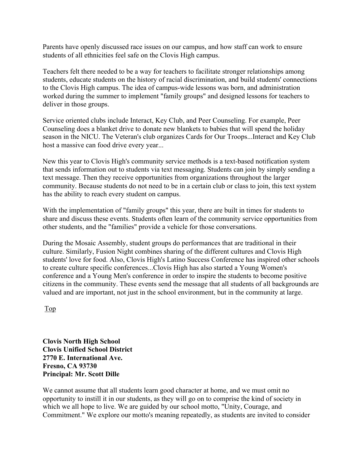Parents have openly discussed race issues on our campus, and how staff can work to ensure students of all ethnicities feel safe on the Clovis High campus.

Teachers felt there needed to be a way for teachers to facilitate stronger relationships among students, educate students on the history of racial discrimination, and build students' connections to the Clovis High campus. The idea of campus-wide lessons was born, and administration worked during the summer to implement "family groups" and designed lessons for teachers to deliver in those groups.

Service oriented clubs include Interact, Key Club, and Peer Counseling. For example, Peer Counseling does a blanket drive to donate new blankets to babies that will spend the holiday season in the NICU. The Veteran's club organizes Cards for Our Troops...Interact and Key Club host a massive can food drive every year...

New this year to Clovis High's community service methods is a text-based notification system that sends information out to students via text messaging. Students can join by simply sending a text message. Then they receive opportunities from organizations throughout the larger community. Because students do not need to be in a certain club or class to join, this text system has the ability to reach every student on campus.

With the implementation of "family groups" this year, there are built in times for students to share and discuss these events. Students often learn of the community service opportunities from other students, and the "families" provide a vehicle for those conversations.

During the Mosaic Assembly, student groups do performances that are traditional in their culture. Similarly, Fusion Night combines sharing of the different cultures and Clovis High students' love for food. Also, Clovis High's Latino Success Conference has inspired other schools to create culture specific conferences...Clovis High has also started a Young Women's conference and a Young Men's conference in order to inspire the students to become positive citizens in the community. These events send the message that all students of all backgrounds are valued and are important, not just in the school environment, but in the community at large.

Top

**Clovis North High School Clovis Unified School District 2770 E. International Ave. Fresno, CA 93730 Principal: Mr. Scott Dille** 

We cannot assume that all students learn good character at home, and we must omit no opportunity to instill it in our students, as they will go on to comprise the kind of society in which we all hope to live. We are guided by our school motto, "Unity, Courage, and Commitment." We explore our motto's meaning repeatedly, as students are invited to consider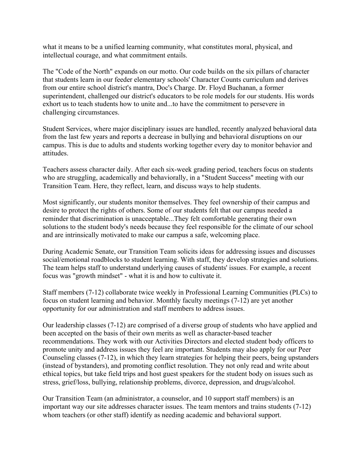what it means to be a unified learning community, what constitutes moral, physical, and intellectual courage, and what commitment entails.

The "Code of the North" expands on our motto. Our code builds on the six pillars of character that students learn in our feeder elementary schools' Character Counts curriculum and derives from our entire school district's mantra, Doc's Charge. Dr. Floyd Buchanan, a former superintendent, challenged our district's educators to be role models for our students. His words exhort us to teach students how to unite and...to have the commitment to persevere in challenging circumstances.

Student Services, where major disciplinary issues are handled, recently analyzed behavioral data from the last few years and reports a decrease in bullying and behavioral disruptions on our campus. This is due to adults and students working together every day to monitor behavior and attitudes.

Teachers assess character daily. After each six-week grading period, teachers focus on students who are struggling, academically and behaviorally, in a "Student Success" meeting with our Transition Team. Here, they reflect, learn, and discuss ways to help students.

Most significantly, our students monitor themselves. They feel ownership of their campus and desire to protect the rights of others. Some of our students felt that our campus needed a reminder that discrimination is unacceptable...They felt comfortable generating their own solutions to the student body's needs because they feel responsible for the climate of our school and are intrinsically motivated to make our campus a safe, welcoming place.

During Academic Senate, our Transition Team solicits ideas for addressing issues and discusses social/emotional roadblocks to student learning. With staff, they develop strategies and solutions. The team helps staff to understand underlying causes of students' issues. For example, a recent focus was "growth mindset" - what it is and how to cultivate it.

Staff members (7-12) collaborate twice weekly in Professional Learning Communities (PLCs) to focus on student learning and behavior. Monthly faculty meetings (7-12) are yet another opportunity for our administration and staff members to address issues.

Our leadership classes (7-12) are comprised of a diverse group of students who have applied and been accepted on the basis of their own merits as well as character-based teacher recommendations. They work with our Activities Directors and elected student body officers to promote unity and address issues they feel are important. Students may also apply for our Peer Counseling classes (7-12), in which they learn strategies for helping their peers, being upstanders (instead of bystanders), and promoting conflict resolution. They not only read and write about ethical topics, but take field trips and host guest speakers for the student body on issues such as stress, grief/loss, bullying, relationship problems, divorce, depression, and drugs/alcohol.

Our Transition Team (an administrator, a counselor, and 10 support staff members) is an important way our site addresses character issues. The team mentors and trains students (7-12) whom teachers (or other staff) identify as needing academic and behavioral support.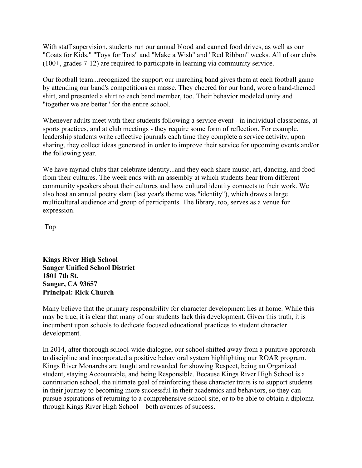With staff supervision, students run our annual blood and canned food drives, as well as our "Coats for Kids," "Toys for Tots" and "Make a Wish" and "Red Ribbon" weeks. All of our clubs (100+, grades 7-12) are required to participate in learning via community service.

Our football team...recognized the support our marching band gives them at each football game by attending our band's competitions en masse. They cheered for our band, wore a band-themed shirt, and presented a shirt to each band member, too. Their behavior modeled unity and "together we are better" for the entire school.

Whenever adults meet with their students following a service event - in individual classrooms, at sports practices, and at club meetings - they require some form of reflection. For example, leadership students write reflective journals each time they complete a service activity; upon sharing, they collect ideas generated in order to improve their service for upcoming events and/or the following year.

We have myriad clubs that celebrate identity...and they each share music, art, dancing, and food from their cultures. The week ends with an assembly at which students hear from different community speakers about their cultures and how cultural identity connects to their work. We also host an annual poetry slam (last year's theme was "identity"), which draws a large multicultural audience and group of participants. The library, too, serves as a venue for expression.

Top

**Kings River High School Sanger Unified School District 1801 7th St. Sanger, CA 93657 Principal: Rick Church** 

Many believe that the primary responsibility for character development lies at home. While this may be true, it is clear that many of our students lack this development. Given this truth, it is incumbent upon schools to dedicate focused educational practices to student character development.

In 2014, after thorough school-wide dialogue, our school shifted away from a punitive approach to discipline and incorporated a positive behavioral system highlighting our ROAR program. Kings River Monarchs are taught and rewarded for showing Respect, being an Organized student, staying Accountable, and being Responsible. Because Kings River High School is a continuation school, the ultimate goal of reinforcing these character traits is to support students in their journey to becoming more successful in their academics and behaviors, so they can pursue aspirations of returning to a comprehensive school site, or to be able to obtain a diploma through Kings River High School – both avenues of success.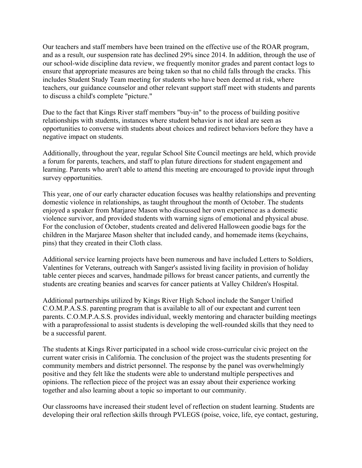Our teachers and staff members have been trained on the effective use of the ROAR program, and as a result, our suspension rate has declined 29% since 2014. In addition, through the use of our school-wide discipline data review, we frequently monitor grades and parent contact logs to ensure that appropriate measures are being taken so that no child falls through the cracks. This includes Student Study Team meeting for students who have been deemed at risk, where teachers, our guidance counselor and other relevant support staff meet with students and parents to discuss a child's complete "picture."

Due to the fact that Kings River staff members "buy-in" to the process of building positive relationships with students, instances where student behavior is not ideal are seen as opportunities to converse with students about choices and redirect behaviors before they have a negative impact on students.

Additionally, throughout the year, regular School Site Council meetings are held, which provide a forum for parents, teachers, and staff to plan future directions for student engagement and learning. Parents who aren't able to attend this meeting are encouraged to provide input through survey opportunities.

This year, one of our early character education focuses was healthy relationships and preventing domestic violence in relationships, as taught throughout the month of October. The students enjoyed a speaker from Marjaree Mason who discussed her own experience as a domestic violence survivor, and provided students with warning signs of emotional and physical abuse. For the conclusion of October, students created and delivered Halloween goodie bags for the children in the Marjaree Mason shelter that included candy, and homemade items (keychains, pins) that they created in their Cloth class.

Additional service learning projects have been numerous and have included Letters to Soldiers, Valentines for Veterans, outreach with Sanger's assisted living facility in provision of holiday table center pieces and scarves, handmade pillows for breast cancer patients, and currently the students are creating beanies and scarves for cancer patients at Valley Children's Hospital.

Additional partnerships utilized by Kings River High School include the Sanger Unified C.O.M.P.A.S.S. parenting program that is available to all of our expectant and current teen parents. C.O.M.P.A.S.S. provides individual, weekly mentoring and character building meetings with a paraprofessional to assist students is developing the well-rounded skills that they need to be a successful parent.

The students at Kings River participated in a school wide cross-curricular civic project on the current water crisis in California. The conclusion of the project was the students presenting for community members and district personnel. The response by the panel was overwhelmingly positive and they felt like the students were able to understand multiple perspectives and opinions. The reflection piece of the project was an essay about their experience working together and also learning about a topic so important to our community.

Our classrooms have increased their student level of reflection on student learning. Students are developing their oral reflection skills through PVLEGS (poise, voice, life, eye contact, gesturing,